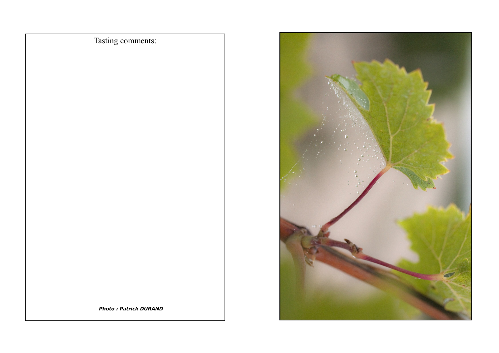Tasting comments:



*Photo : Patrick DURAND*